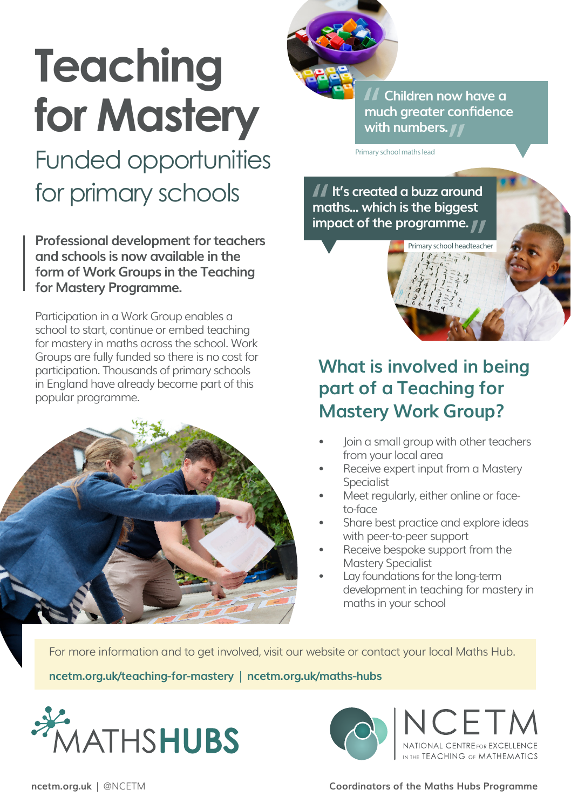# **Teaching for Mastery**

# Funded opportunities for primary schools

**Professional development for teachers and schools is now available in the form of Work Groups in the Teaching for Mastery Programme.** 

Participation in a Work Group enables a school to start, continue or embed teaching for mastery in maths across the school. Work Groups are fully funded so there is no cost for participation. Thousands of primary schools in England have already become part of this popular programme.





 **Children now have a much greater confidence with numbers.**

v school headteacher

Primary school maths lead

 **It's created a buzz around maths... which is the biggest impact of the programme.**

## **What is involved in being part of a Teaching for Mastery Work Group?**

- Join a small group with other teachers from your local area
- Receive expert input from a Mastery Specialist
- Meet regularly, either online or faceto-face
- Share best practice and explore ideas with peer-to-peer support
- Receive bespoke support from the Mastery Specialist
- Lay foundations for the long-term development in teaching for mastery in maths in your school

For more information and to get involved, visit our website or contact your local Maths Hub.

**[ncetm.org.uk/teaching-for-mastery](http://ncetm.org.uk/teaching-for-mastery)** | **[ncetm.org.uk/maths-hubs](http://ncetm.org.uk/maths-hubs)**





**[ncetm.org.uk](https://www.ncetm.org.uk)** | @NCETM **Coordinators of the Maths Hubs Programme**